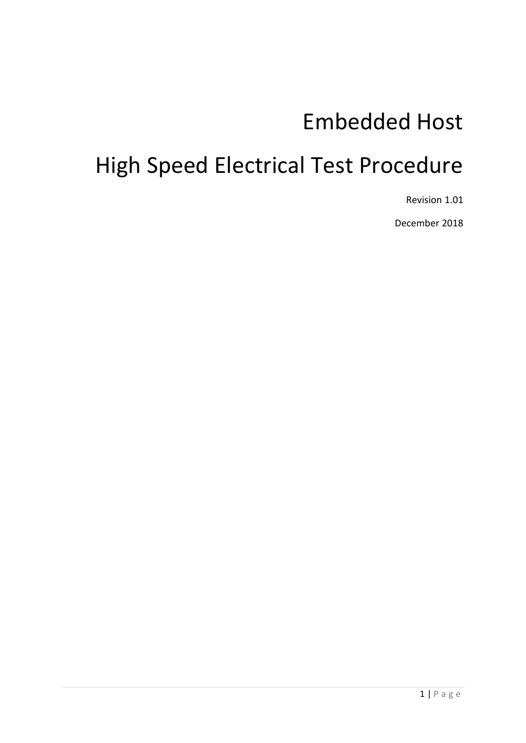# Embedded Host

# High Speed Electrical Test Procedure

Revision 1.01

December 2018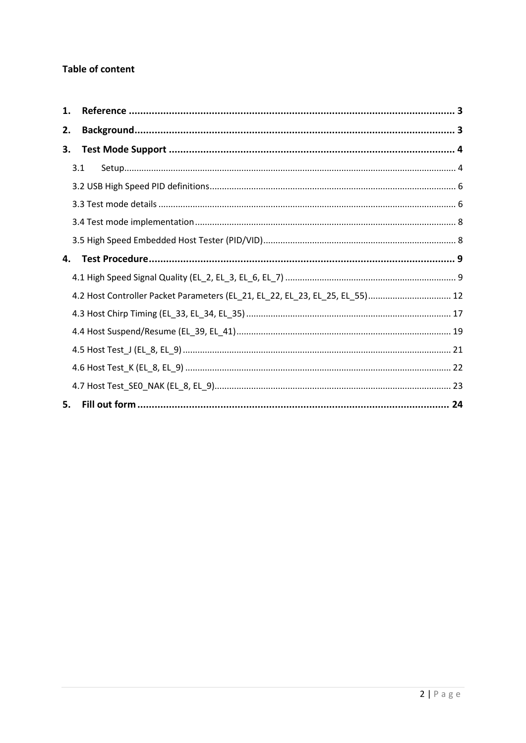## **Table of content**

| 1. |                                                                              |  |
|----|------------------------------------------------------------------------------|--|
| 2. |                                                                              |  |
| 3. |                                                                              |  |
|    | 3.1                                                                          |  |
|    |                                                                              |  |
|    |                                                                              |  |
|    |                                                                              |  |
|    |                                                                              |  |
| 4. |                                                                              |  |
|    |                                                                              |  |
|    | 4.2 Host Controller Packet Parameters (EL_21, EL_22, EL_23, EL_25, EL_55) 12 |  |
|    |                                                                              |  |
|    |                                                                              |  |
|    |                                                                              |  |
|    |                                                                              |  |
|    |                                                                              |  |
| 5. |                                                                              |  |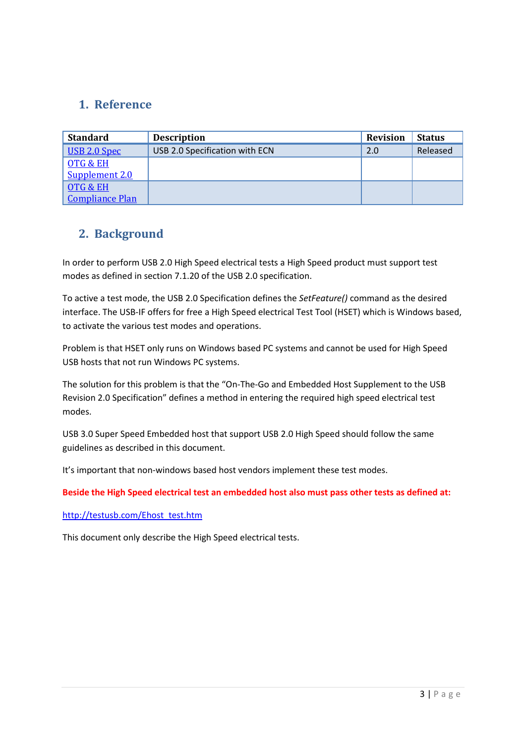# <span id="page-2-0"></span>**1. Reference**

| <b>Standard</b>        | <b>Description</b>             | <b>Revision</b> | <b>Status</b> |
|------------------------|--------------------------------|-----------------|---------------|
| USB 2.0 Spec           | USB 2.0 Specification with ECN | 2.0             | Released      |
| OTG & EH               |                                |                 |               |
| Supplement 2.0         |                                |                 |               |
| OTG & EH               |                                |                 |               |
| <b>Compliance Plan</b> |                                |                 |               |

# <span id="page-2-1"></span>**2. Background**

In order to perform USB 2.0 High Speed electrical tests a High Speed product must support test modes as defined in section 7.1.20 of the USB 2.0 specification.

To active a test mode, the USB 2.0 Specification defines the *SetFeature()* command as the desired interface. The USB-IF offers for free a High Speed electrical Test Tool (HSET) which is Windows based, to activate the various test modes and operations.

Problem is that HSET only runs on Windows based PC systems and cannot be used for High Speed USB hosts that not run Windows PC systems.

The solution for this problem is that the "On-The-Go and Embedded Host Supplement to the USB Revision 2.0 Specification" defines a method in entering the required high speed electrical test modes.

USB 3.0 Super Speed Embedded host that support USB 2.0 High Speed should follow the same guidelines as described in this document.

It's important that non-windows based host vendors implement these test modes.

**Beside the High Speed electrical test an embedded host also must pass other tests as defined at:**

#### [http://testusb.com/Ehost\\_test.htm](http://testusb.com/Ehost_test.htm)

This document only describe the High Speed electrical tests.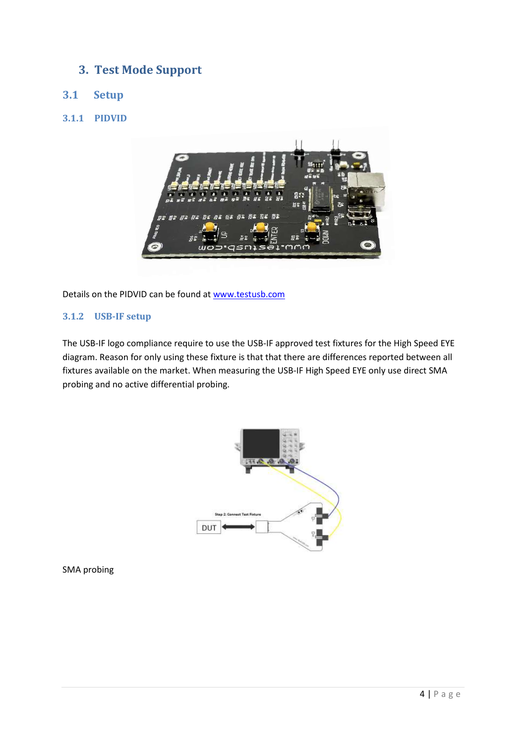# <span id="page-3-0"></span>**3. Test Mode Support**

## <span id="page-3-1"></span>**3.1 Setup**

## **3.1.1 PIDVID**



Details on the PIDVID can be found at [www.testusb.com](http://www.testusb.com/)

## **3.1.2 USB-IF setup**

The USB-IF logo compliance require to use the USB-IF approved test fixtures for the High Speed EYE diagram. Reason for only using these fixture is that that there are differences reported between all fixtures available on the market. When measuring the USB-IF High Speed EYE only use direct SMA probing and no active differential probing.



SMA probing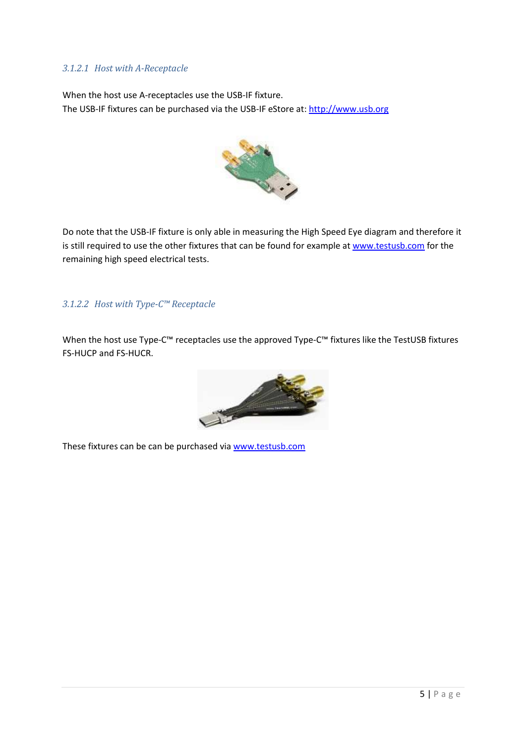## *3.1.2.1 Host with A-Receptacle*

When the host use A-receptacles use the USB-IF fixture. The USB-IF fixtures can be purchased via the USB-IF eStore at[: http://www.usb.org](http://www.usb.org/)



Do note that the USB-IF fixture is only able in measuring the High Speed Eye diagram and therefore it is still required to use the other fixtures that can be found for example at [www.testusb.com](http://www.testusb.com/) for the remaining high speed electrical tests.

## *3.1.2.2 Host with Type-C™ Receptacle*

When the host use Type-C™ receptacles use the approved Type-C™ fixtures like the TestUSB fixtures FS-HUCP and FS-HUCR.



These fixtures can be can be purchased via [www.testusb.com](http://www.testusb.com/)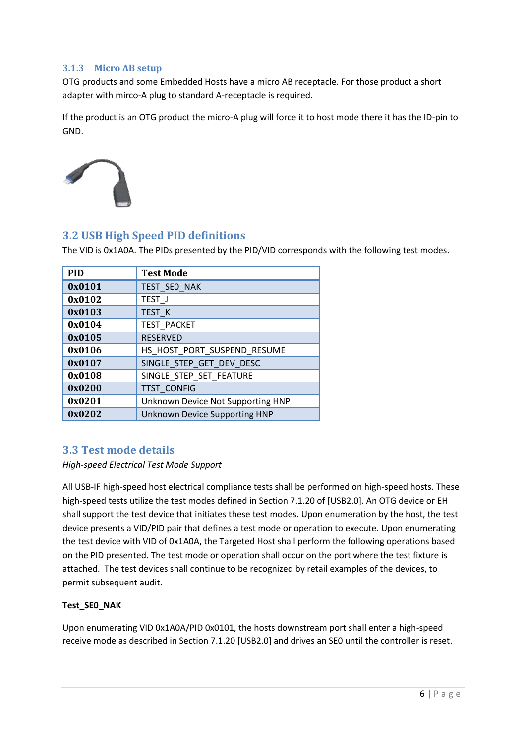## **3.1.3 Micro AB setup**

OTG products and some Embedded Hosts have a micro AB receptacle. For those product a short adapter with mirco-A plug to standard A-receptacle is required.

If the product is an OTG product the micro-A plug will force it to host mode there it has the ID-pin to GND.



## <span id="page-5-0"></span>**3.2 USB High Speed PID definitions**

The VID is 0x1A0A. The PIDs presented by the PID/VID corresponds with the following test modes.

| <b>PID</b> | <b>Test Mode</b>                     |
|------------|--------------------------------------|
| 0x0101     | TEST_SEO_NAK                         |
| 0x0102     | TEST J                               |
| 0x0103     | TEST K                               |
| 0x0104     | TEST PACKET                          |
| 0x0105     | <b>RESERVED</b>                      |
| 0x0106     | HS HOST PORT SUSPEND RESUME          |
| 0x0107     | SINGLE STEP GET DEV DESC             |
| 0x0108     | SINGLE STEP SET FEATURE              |
| 0x0200     | <b>TTST_CONFIG</b>                   |
| 0x0201     | Unknown Device Not Supporting HNP    |
| 0x0202     | <b>Unknown Device Supporting HNP</b> |

## <span id="page-5-1"></span>**3.3 Test mode details**

#### *High-speed Electrical Test Mode Support*

All USB-IF high-speed host electrical compliance tests shall be performed on high-speed hosts. These high-speed tests utilize the test modes defined in Section 7.1.20 of [USB2.0]. An OTG device or EH shall support the test device that initiates these test modes. Upon enumeration by the host, the test device presents a VID/PID pair that defines a test mode or operation to execute. Upon enumerating the test device with VID of 0x1A0A, the Targeted Host shall perform the following operations based on the PID presented. The test mode or operation shall occur on the port where the test fixture is attached. The test devices shall continue to be recognized by retail examples of the devices, to permit subsequent audit.

### **Test\_SE0\_NAK**

Upon enumerating VID 0x1A0A/PID 0x0101, the hosts downstream port shall enter a high-speed receive mode as described in Section 7.1.20 [USB2.0] and drives an SE0 until the controller is reset.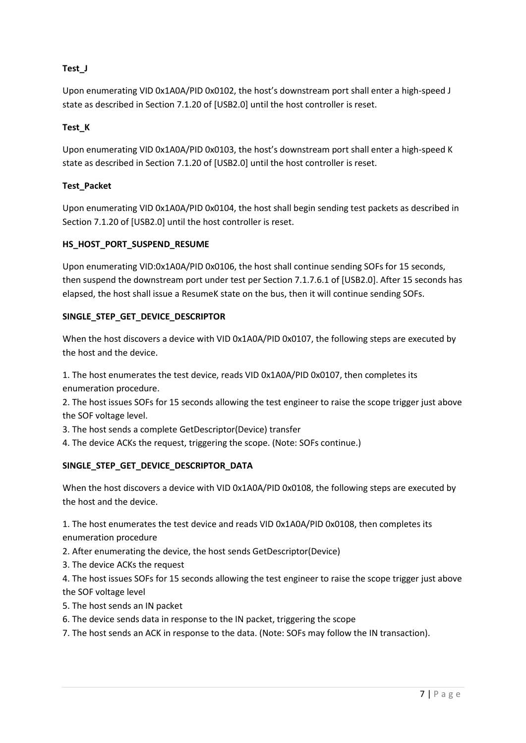## **Test\_J**

Upon enumerating VID 0x1A0A/PID 0x0102, the host's downstream port shall enter a high-speed J state as described in Section 7.1.20 of [USB2.0] until the host controller is reset.

## **Test\_K**

Upon enumerating VID 0x1A0A/PID 0x0103, the host's downstream port shall enter a high-speed K state as described in Section 7.1.20 of [USB2.0] until the host controller is reset.

## **Test\_Packet**

Upon enumerating VID 0x1A0A/PID 0x0104, the host shall begin sending test packets as described in Section 7.1.20 of [USB2.0] until the host controller is reset.

## **HS\_HOST\_PORT\_SUSPEND\_RESUME**

Upon enumerating VID:0x1A0A/PID 0x0106, the host shall continue sending SOFs for 15 seconds, then suspend the downstream port under test per Section 7.1.7.6.1 of [USB2.0]. After 15 seconds has elapsed, the host shall issue a ResumeK state on the bus, then it will continue sending SOFs.

## **SINGLE\_STEP\_GET\_DEVICE\_DESCRIPTOR**

When the host discovers a device with VID 0x1A0A/PID 0x0107, the following steps are executed by the host and the device.

1. The host enumerates the test device, reads VID 0x1A0A/PID 0x0107, then completes its enumeration procedure.

2. The host issues SOFs for 15 seconds allowing the test engineer to raise the scope trigger just above the SOF voltage level.

3. The host sends a complete GetDescriptor(Device) transfer

4. The device ACKs the request, triggering the scope. (Note: SOFs continue.)

### **SINGLE\_STEP\_GET\_DEVICE\_DESCRIPTOR\_DATA**

When the host discovers a device with VID 0x1A0A/PID 0x0108, the following steps are executed by the host and the device.

1. The host enumerates the test device and reads VID 0x1A0A/PID 0x0108, then completes its enumeration procedure

- 2. After enumerating the device, the host sends GetDescriptor(Device)
- 3. The device ACKs the request

4. The host issues SOFs for 15 seconds allowing the test engineer to raise the scope trigger just above the SOF voltage level

- 5. The host sends an IN packet
- 6. The device sends data in response to the IN packet, triggering the scope

7. The host sends an ACK in response to the data. (Note: SOFs may follow the IN transaction).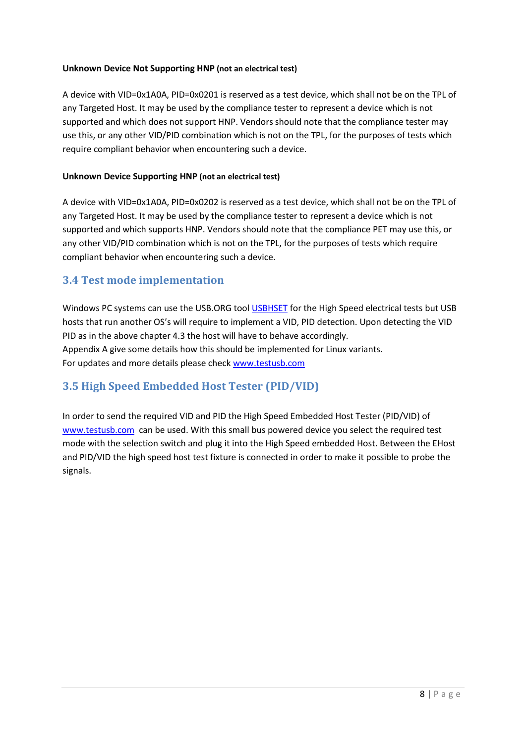### **Unknown Device Not Supporting HNP (not an electrical test)**

A device with VID=0x1A0A, PID=0x0201 is reserved as a test device, which shall not be on the TPL of any Targeted Host. It may be used by the compliance tester to represent a device which is not supported and which does not support HNP. Vendors should note that the compliance tester may use this, or any other VID/PID combination which is not on the TPL, for the purposes of tests which require compliant behavior when encountering such a device.

#### **Unknown Device Supporting HNP (not an electrical test)**

A device with VID=0x1A0A, PID=0x0202 is reserved as a test device, which shall not be on the TPL of any Targeted Host. It may be used by the compliance tester to represent a device which is not supported and which supports HNP. Vendors should note that the compliance PET may use this, or any other VID/PID combination which is not on the TPL, for the purposes of tests which require compliant behavior when encountering such a device.

## <span id="page-7-0"></span>**3.4 Test mode implementation**

Windows PC systems can use the USB.ORG tool [USBHSET](http://www.usb.org/) for the High Speed electrical tests but USB hosts that run another OS's will require to implement a VID, PID detection. Upon detecting the VID PID as in the above chapter 4.3 the host will have to behave accordingly. Appendix A give some details how this should be implemented for Linux variants. For updates and more details please chec[k www.testusb.com](http://www.testusb.com/)

## <span id="page-7-1"></span>**3.5 High Speed Embedded Host Tester (PID/VID)**

In order to send the required VID and PID the High Speed Embedded Host Tester (PID/VID) of [www.testusb.com](http://www.testusb.com/) can be used. With this small bus powered device you select the required test mode with the selection switch and plug it into the High Speed embedded Host. Between the EHost and PID/VID the high speed host test fixture is connected in order to make it possible to probe the signals.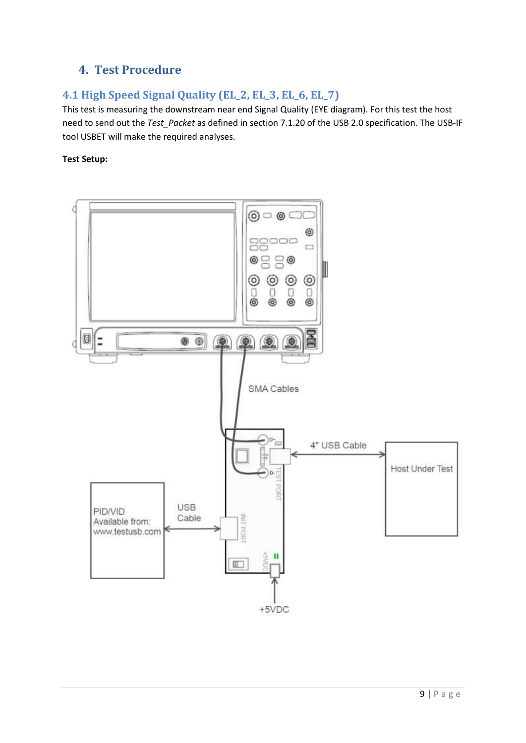# <span id="page-8-0"></span>**4. Test Procedure**

# <span id="page-8-1"></span>**4.1 High Speed Signal Quality (EL\_2, EL\_3, EL\_6, EL\_7)**

This test is measuring the downstream near end Signal Quality (EYE diagram). For this test the host need to send out the *Test\_Packet* as defined in section 7.1.20 of the USB 2.0 specification. The USB-IF tool USBET will make the required analyses.

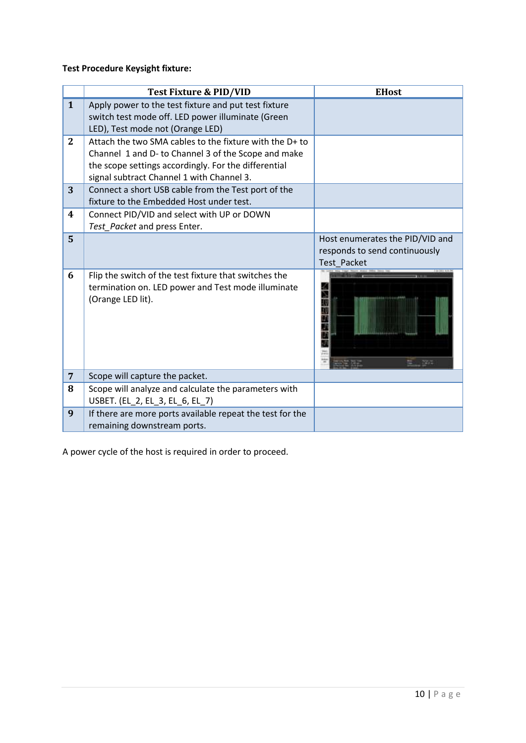**Test Procedure Keysight fixture:**

|                 | <b>Test Fixture &amp; PID/VID</b>                                                                                                                                                                                   | <b>EHost</b>                                                                    |
|-----------------|---------------------------------------------------------------------------------------------------------------------------------------------------------------------------------------------------------------------|---------------------------------------------------------------------------------|
| $\mathbf{1}$    | Apply power to the test fixture and put test fixture<br>switch test mode off. LED power illuminate (Green<br>LED), Test mode not (Orange LED)                                                                       |                                                                                 |
| $\mathbf{2}$    | Attach the two SMA cables to the fixture with the D+ to<br>Channel 1 and D- to Channel 3 of the Scope and make<br>the scope settings accordingly. For the differential<br>signal subtract Channel 1 with Channel 3. |                                                                                 |
| 3               | Connect a short USB cable from the Test port of the<br>fixture to the Embedded Host under test.                                                                                                                     |                                                                                 |
| 4               | Connect PID/VID and select with UP or DOWN<br>Test Packet and press Enter.                                                                                                                                          |                                                                                 |
| 5               |                                                                                                                                                                                                                     | Host enumerates the PID/VID and<br>responds to send continuously<br>Test Packet |
| 6               | Flip the switch of the test fixture that switches the<br>termination on. LED power and Test mode illuminate<br>(Orange LED lit).                                                                                    | ma                                                                              |
| $7\overline{ }$ | Scope will capture the packet.                                                                                                                                                                                      |                                                                                 |
| 8               | Scope will analyze and calculate the parameters with<br>USBET. (EL_2, EL_3, EL_6, EL_7)                                                                                                                             |                                                                                 |
| 9               | If there are more ports available repeat the test for the<br>remaining downstream ports.                                                                                                                            |                                                                                 |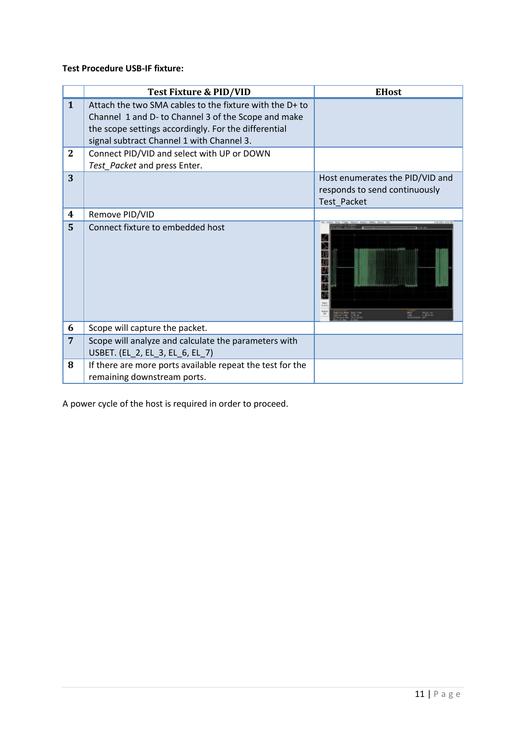## **Test Procedure USB-IF fixture:**

|              | Test Fixture & PID/VID                                                                                                                                                                                              | <b>EHost</b>                                                                    |
|--------------|---------------------------------------------------------------------------------------------------------------------------------------------------------------------------------------------------------------------|---------------------------------------------------------------------------------|
| $\mathbf{1}$ | Attach the two SMA cables to the fixture with the D+ to<br>Channel 1 and D- to Channel 3 of the Scope and make<br>the scope settings accordingly. For the differential<br>signal subtract Channel 1 with Channel 3. |                                                                                 |
| $\mathbf{2}$ | Connect PID/VID and select with UP or DOWN<br>Test_Packet and press Enter.                                                                                                                                          |                                                                                 |
| 3            |                                                                                                                                                                                                                     | Host enumerates the PID/VID and<br>responds to send continuously<br>Test Packet |
| 4            | Remove PID/VID                                                                                                                                                                                                      |                                                                                 |
| 5            | Connect fixture to embedded host                                                                                                                                                                                    | 74.1                                                                            |
| 6            | Scope will capture the packet.                                                                                                                                                                                      |                                                                                 |
| 7            | Scope will analyze and calculate the parameters with<br>USBET. (EL_2, EL_3, EL_6, EL_7)                                                                                                                             |                                                                                 |
| 8            | If there are more ports available repeat the test for the<br>remaining downstream ports.                                                                                                                            |                                                                                 |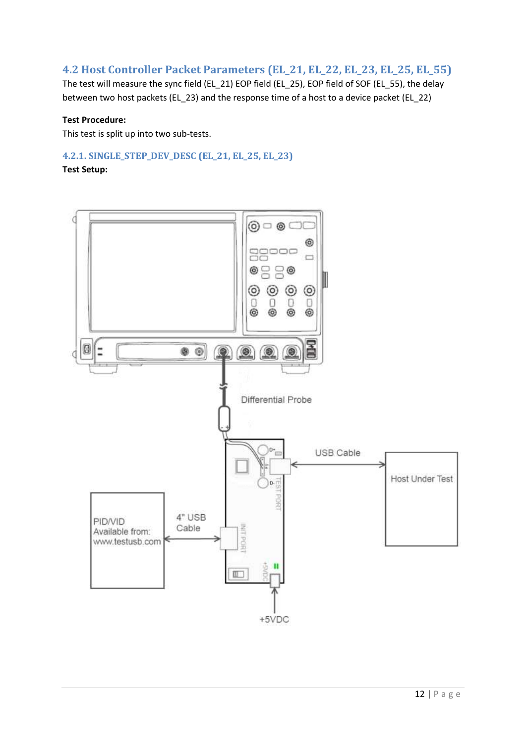## <span id="page-11-0"></span>**4.2 Host Controller Packet Parameters (EL\_21, EL\_22, EL\_23, EL\_25, EL\_55)**

The test will measure the sync field (EL\_21) EOP field (EL\_25), EOP field of SOF (EL\_55), the delay between two host packets (EL\_23) and the response time of a host to a device packet (EL\_22)

#### **Test Procedure:**

This test is split up into two sub-tests.

## **4.2.1. SINGLE\_STEP\_DEV\_DESC (EL\_21, EL\_25, EL\_23)**

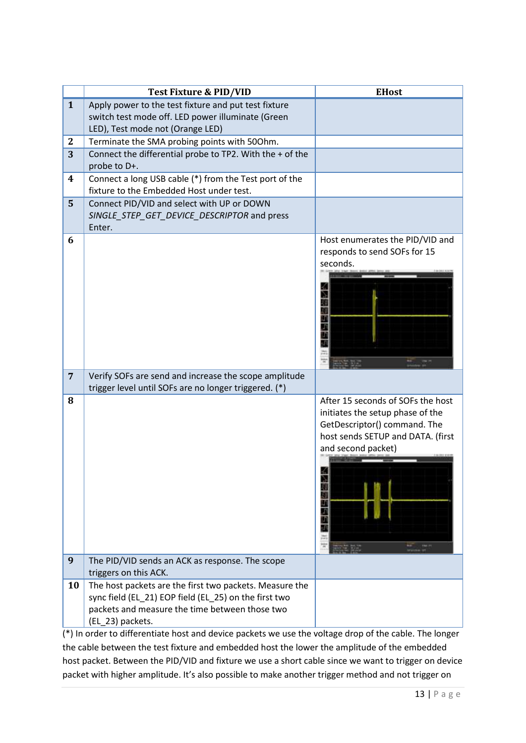|                  | <b>Test Fixture &amp; PID/VID</b>                                                         | <b>EHost</b>                      |
|------------------|-------------------------------------------------------------------------------------------|-----------------------------------|
| $\mathbf{1}$     | Apply power to the test fixture and put test fixture                                      |                                   |
|                  | switch test mode off. LED power illuminate (Green                                         |                                   |
|                  | LED), Test mode not (Orange LED)                                                          |                                   |
| $\boldsymbol{2}$ | Terminate the SMA probing points with 500hm.                                              |                                   |
| 3                | Connect the differential probe to TP2. With the + of the                                  |                                   |
|                  | probe to D+.                                                                              |                                   |
| 4                | Connect a long USB cable (*) from the Test port of the                                    |                                   |
|                  | fixture to the Embedded Host under test.                                                  |                                   |
| 5                | Connect PID/VID and select with UP or DOWN<br>SINGLE_STEP_GET_DEVICE_DESCRIPTOR and press |                                   |
|                  | Enter.                                                                                    |                                   |
| 6                |                                                                                           | Host enumerates the PID/VID and   |
|                  |                                                                                           | responds to send SOFs for 15      |
|                  |                                                                                           | seconds.                          |
|                  |                                                                                           |                                   |
|                  |                                                                                           |                                   |
|                  |                                                                                           |                                   |
|                  |                                                                                           | LD                                |
|                  |                                                                                           |                                   |
|                  |                                                                                           |                                   |
|                  |                                                                                           |                                   |
|                  |                                                                                           |                                   |
| $\overline{7}$   | Verify SOFs are send and increase the scope amplitude                                     |                                   |
|                  | trigger level until SOFs are no longer triggered. (*)                                     |                                   |
| 8                |                                                                                           | After 15 seconds of SOFs the host |
|                  |                                                                                           | initiates the setup phase of the  |
|                  |                                                                                           | GetDescriptor() command. The      |
|                  |                                                                                           | host sends SETUP and DATA. (first |
|                  |                                                                                           | and second packet)                |
|                  |                                                                                           |                                   |
|                  |                                                                                           |                                   |
|                  |                                                                                           |                                   |
|                  |                                                                                           |                                   |
|                  |                                                                                           |                                   |
|                  |                                                                                           |                                   |
|                  |                                                                                           |                                   |
| 9                | The PID/VID sends an ACK as response. The scope                                           |                                   |
|                  | triggers on this ACK.                                                                     |                                   |
| 10               | The host packets are the first two packets. Measure the                                   |                                   |
|                  | sync field (EL_21) EOP field (EL_25) on the first two                                     |                                   |
|                  | packets and measure the time between those two                                            |                                   |
|                  | (EL_23) packets.                                                                          |                                   |

(\*) In order to differentiate host and device packets we use the voltage drop of the cable. The longer the cable between the test fixture and embedded host the lower the amplitude of the embedded host packet. Between the PID/VID and fixture we use a short cable since we want to trigger on device packet with higher amplitude. It's also possible to make another trigger method and not trigger on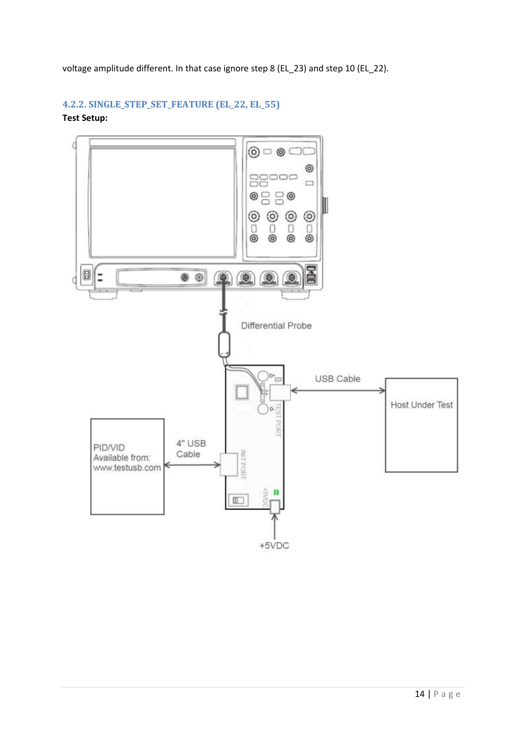voltage amplitude different. In that case ignore step 8 (EL\_23) and step 10 (EL\_22).

## **4.2.2. SINGLE\_STEP\_SET\_FEATURE (EL\_22, EL\_55)**

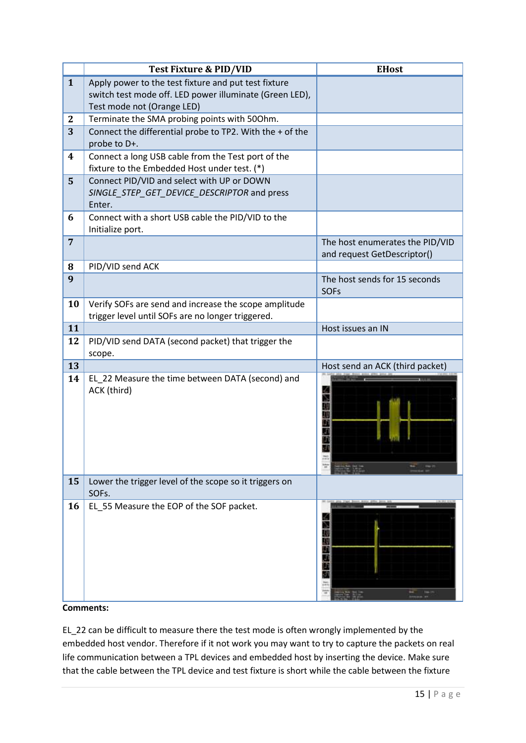|                | <b>Test Fixture &amp; PID/VID</b>                                                                  | <b>EHost</b>                                 |
|----------------|----------------------------------------------------------------------------------------------------|----------------------------------------------|
| $\mathbf{1}$   | Apply power to the test fixture and put test fixture                                               |                                              |
|                | switch test mode off. LED power illuminate (Green LED),<br>Test mode not (Orange LED)              |                                              |
| $\mathbf{2}$   | Terminate the SMA probing points with 500hm.                                                       |                                              |
| 3              | Connect the differential probe to TP2. With the + of the                                           |                                              |
|                | probe to D+.                                                                                       |                                              |
| 4              | Connect a long USB cable from the Test port of the<br>fixture to the Embedded Host under test. (*) |                                              |
| 5              | Connect PID/VID and select with UP or DOWN                                                         |                                              |
|                | SINGLE_STEP_GET_DEVICE_DESCRIPTOR and press<br>Enter.                                              |                                              |
| 6              | Connect with a short USB cable the PID/VID to the<br>Initialize port.                              |                                              |
| $\overline{7}$ |                                                                                                    | The host enumerates the PID/VID              |
|                |                                                                                                    | and request GetDescriptor()                  |
| 8              | PID/VID send ACK                                                                                   |                                              |
| 9              |                                                                                                    | The host sends for 15 seconds<br><b>SOFs</b> |
| 10             | Verify SOFs are send and increase the scope amplitude                                              |                                              |
|                | trigger level until SOFs are no longer triggered.                                                  |                                              |
| 11             |                                                                                                    | Host issues an IN                            |
| 12             | PID/VID send DATA (second packet) that trigger the<br>scope.                                       |                                              |
| 13             |                                                                                                    | Host send an ACK (third packet)              |
| 14             | EL 22 Measure the time between DATA (second) and<br>ACK (third)                                    |                                              |
| 15             | Lower the trigger level of the scope so it triggers on<br>SOFs.                                    |                                              |
| 16             | EL_55 Measure the EOP of the SOF packet.                                                           |                                              |

#### **Comments:**

EL\_22 can be difficult to measure there the test mode is often wrongly implemented by the embedded host vendor. Therefore if it not work you may want to try to capture the packets on real life communication between a TPL devices and embedded host by inserting the device. Make sure that the cable between the TPL device and test fixture is short while the cable between the fixture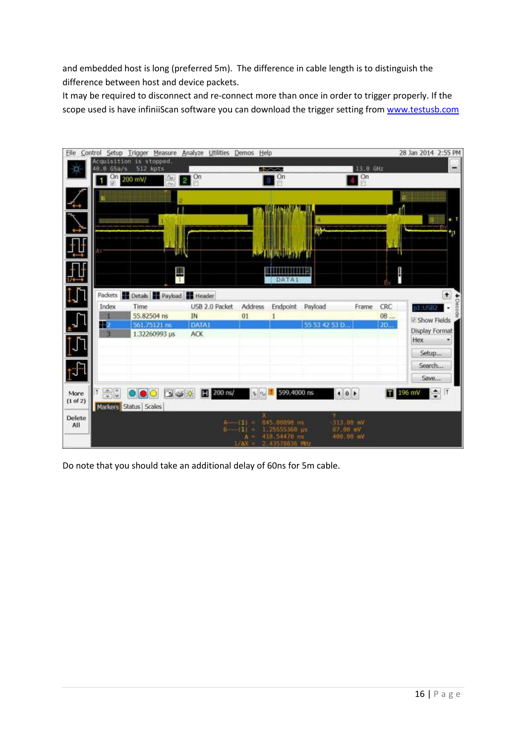and embedded host is long (preferred 5m). The difference in cable length is to distinguish the difference between host and device packets.

It may be required to disconnect and re-connect more than once in order to trigger properly. If the scope used is have infiniiScan software you can download the trigger setting from [www.testusb.com](http://www.testusb.com/)



Do note that you should take an additional delay of 60ns for 5m cable.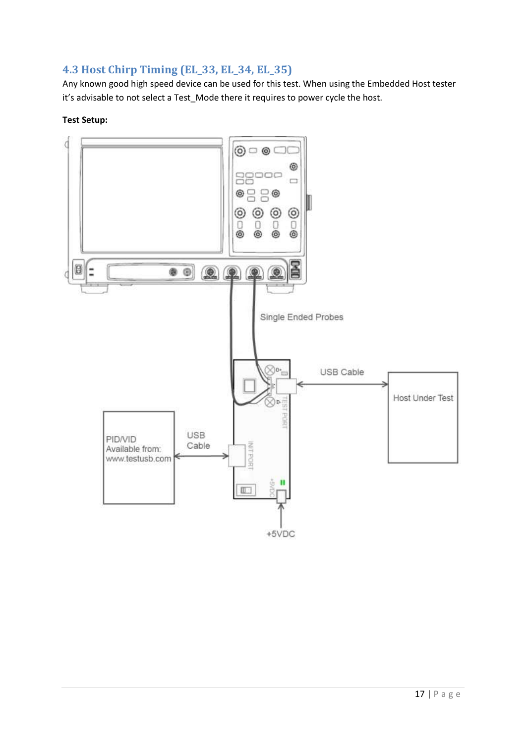## <span id="page-16-0"></span>**4.3 Host Chirp Timing (EL\_33, EL\_34, EL\_35)**

Any known good high speed device can be used for this test. When using the Embedded Host tester it's advisable to not select a Test\_Mode there it requires to power cycle the host.

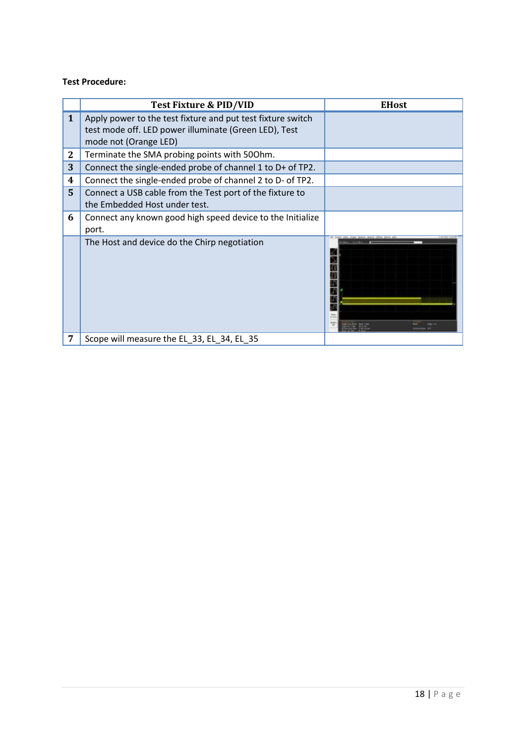### **Test Procedure:**

|                  | Test Fixture & PID/VID                                                                                               | <b>EHost</b> |
|------------------|----------------------------------------------------------------------------------------------------------------------|--------------|
| $\mathbf{1}$     | Apply power to the test fixture and put test fixture switch<br>test mode off. LED power illuminate (Green LED), Test |              |
|                  | mode not (Orange LED)                                                                                                |              |
| $\boldsymbol{2}$ | Terminate the SMA probing points with 500hm.                                                                         |              |
| 3                | Connect the single-ended probe of channel 1 to D+ of TP2.                                                            |              |
| 4                | Connect the single-ended probe of channel 2 to D- of TP2.                                                            |              |
| 5 <sup>1</sup>   | Connect a USB cable from the Test port of the fixture to<br>the Embedded Host under test.                            |              |
| 6                | Connect any known good high speed device to the Initialize<br>port.                                                  |              |
|                  | The Host and device do the Chirp negotiation                                                                         |              |
|                  | Scope will measure the EL_33, EL_34, EL_35                                                                           |              |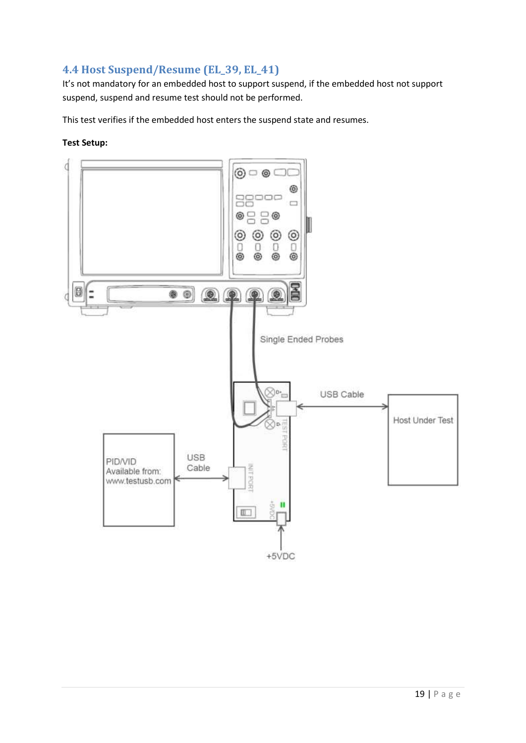# <span id="page-18-0"></span>**4.4 Host Suspend/Resume (EL\_39, EL\_41)**

It's not mandatory for an embedded host to support suspend, if the embedded host not support suspend, suspend and resume test should not be performed.

This test verifies if the embedded host enters the suspend state and resumes.

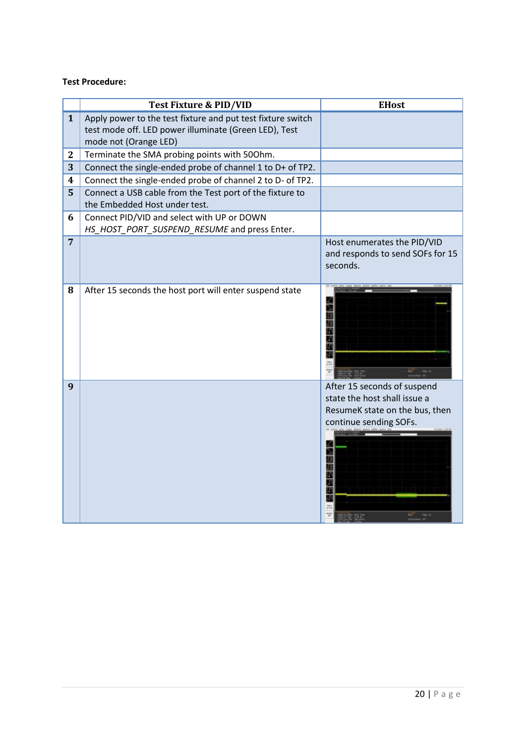#### **Test Procedure:**

|                | <b>Test Fixture &amp; PID/VID</b>                                                                                                             | <b>EHost</b>                                                                                                                 |
|----------------|-----------------------------------------------------------------------------------------------------------------------------------------------|------------------------------------------------------------------------------------------------------------------------------|
| $\mathbf{1}$   | Apply power to the test fixture and put test fixture switch<br>test mode off. LED power illuminate (Green LED), Test<br>mode not (Orange LED) |                                                                                                                              |
| $\mathbf{2}$   | Terminate the SMA probing points with 500hm.                                                                                                  |                                                                                                                              |
| 3              | Connect the single-ended probe of channel 1 to D+ of TP2.                                                                                     |                                                                                                                              |
| 4              | Connect the single-ended probe of channel 2 to D- of TP2.                                                                                     |                                                                                                                              |
| 5              | Connect a USB cable from the Test port of the fixture to<br>the Embedded Host under test.                                                     |                                                                                                                              |
| 6              | Connect PID/VID and select with UP or DOWN<br>HS_HOST_PORT_SUSPEND_RESUME and press Enter.                                                    |                                                                                                                              |
| $\overline{7}$ |                                                                                                                                               | Host enumerates the PID/VID<br>and responds to send SOFs for 15<br>seconds.                                                  |
| 8              | After 15 seconds the host port will enter suspend state                                                                                       | Æ                                                                                                                            |
| 9              |                                                                                                                                               | After 15 seconds of suspend<br>state the host shall issue a<br>ResumeK state on the bus, then<br>continue sending SOFs.<br>n |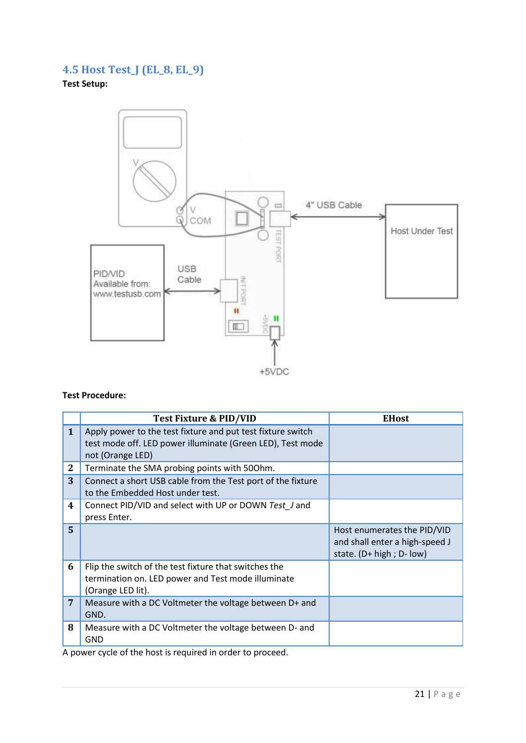# <span id="page-20-0"></span>**4.5 Host Test\_J (EL\_8, EL\_9)**

**Test Setup:**



#### **Test Procedure:**

|              | Test Fixture & PID/VID                                                                                                                        | <b>EHost</b>                                                                                |
|--------------|-----------------------------------------------------------------------------------------------------------------------------------------------|---------------------------------------------------------------------------------------------|
| $\mathbf{1}$ | Apply power to the test fixture and put test fixture switch<br>test mode off. LED power illuminate (Green LED), Test mode<br>not (Orange LED) |                                                                                             |
| $\mathbf{2}$ | Terminate the SMA probing points with 500hm.                                                                                                  |                                                                                             |
| 3            | Connect a short USB cable from the Test port of the fixture<br>to the Embedded Host under test.                                               |                                                                                             |
| 4            | Connect PID/VID and select with UP or DOWN Test J and<br>press Enter.                                                                         |                                                                                             |
| 5.           |                                                                                                                                               | Host enumerates the PID/VID<br>and shall enter a high-speed J<br>state. $(D+ high; D- low)$ |
| 6            | Flip the switch of the test fixture that switches the<br>termination on. LED power and Test mode illuminate<br>(Orange LED lit).              |                                                                                             |
| 7            | Measure with a DC Voltmeter the voltage between D+ and<br>GND.                                                                                |                                                                                             |
| 8            | Measure with a DC Voltmeter the voltage between D- and<br><b>GND</b>                                                                          |                                                                                             |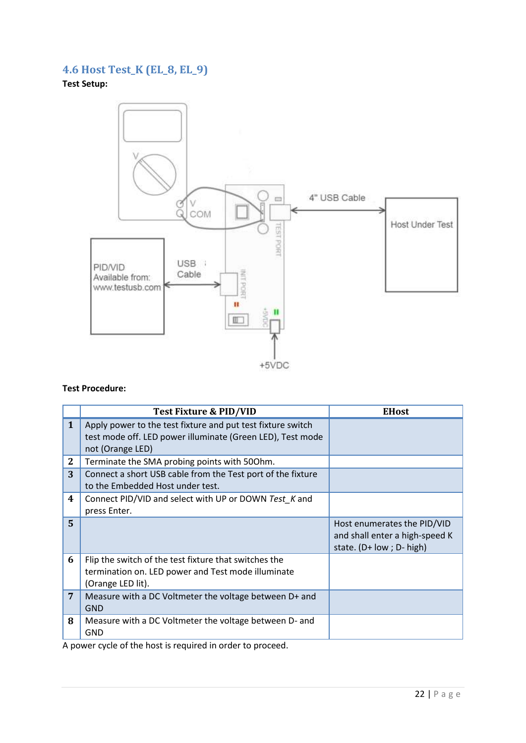# <span id="page-21-0"></span>**4.6 Host Test\_K (EL\_8, EL\_9)**

**Test Setup:**



#### **Test Procedure:**

|              | Test Fixture & PID/VID                                                                                                                        | <b>EHost</b>                                                                              |
|--------------|-----------------------------------------------------------------------------------------------------------------------------------------------|-------------------------------------------------------------------------------------------|
| 1            | Apply power to the test fixture and put test fixture switch<br>test mode off. LED power illuminate (Green LED), Test mode<br>not (Orange LED) |                                                                                           |
| $\mathbf{2}$ | Terminate the SMA probing points with 500hm.                                                                                                  |                                                                                           |
| 3            | Connect a short USB cable from the Test port of the fixture<br>to the Embedded Host under test.                                               |                                                                                           |
| 4            | Connect PID/VID and select with UP or DOWN Test K and<br>press Enter.                                                                         |                                                                                           |
| 5.           |                                                                                                                                               | Host enumerates the PID/VID<br>and shall enter a high-speed K<br>state. (D+ low; D- high) |
| 6            | Flip the switch of the test fixture that switches the<br>termination on. LED power and Test mode illuminate<br>(Orange LED lit).              |                                                                                           |
| 7            | Measure with a DC Voltmeter the voltage between D+ and<br><b>GND</b>                                                                          |                                                                                           |
| 8            | Measure with a DC Voltmeter the voltage between D- and<br><b>GND</b>                                                                          |                                                                                           |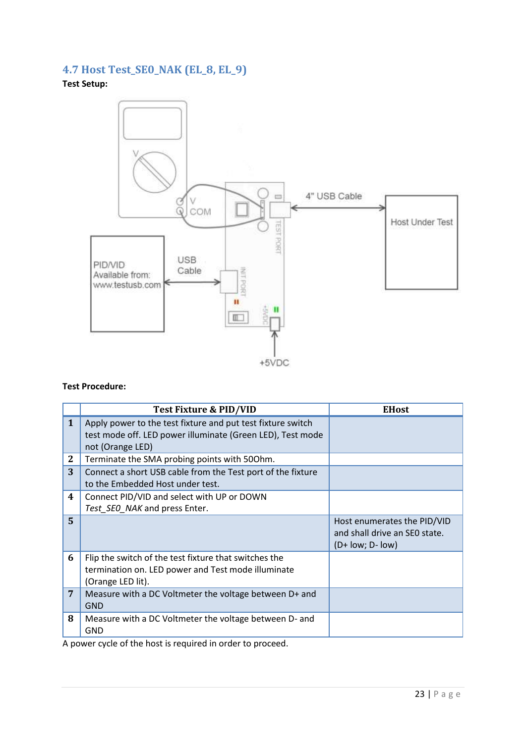# <span id="page-22-0"></span>**4.7 Host Test\_SE0\_NAK (EL\_8, EL\_9)**

**Test Setup:**



#### **Test Procedure:**

|                | Test Fixture & PID/VID                                                                                                                        | <b>EHost</b>                                                                       |
|----------------|-----------------------------------------------------------------------------------------------------------------------------------------------|------------------------------------------------------------------------------------|
| 1              | Apply power to the test fixture and put test fixture switch<br>test mode off. LED power illuminate (Green LED), Test mode<br>not (Orange LED) |                                                                                    |
| $\mathbf{2}$   | Terminate the SMA probing points with 500hm.                                                                                                  |                                                                                    |
| 3              | Connect a short USB cable from the Test port of the fixture<br>to the Embedded Host under test.                                               |                                                                                    |
| 4              | Connect PID/VID and select with UP or DOWN<br>Test_SEO_NAK and press Enter.                                                                   |                                                                                    |
| $\overline{5}$ |                                                                                                                                               | Host enumerates the PID/VID<br>and shall drive an SEO state.<br>$(D+ low; D- low)$ |
| 6              | Flip the switch of the test fixture that switches the<br>termination on. LED power and Test mode illuminate<br>(Orange LED lit).              |                                                                                    |
| 7              | Measure with a DC Voltmeter the voltage between D+ and<br><b>GND</b>                                                                          |                                                                                    |
| 8              | Measure with a DC Voltmeter the voltage between D- and<br><b>GND</b>                                                                          |                                                                                    |